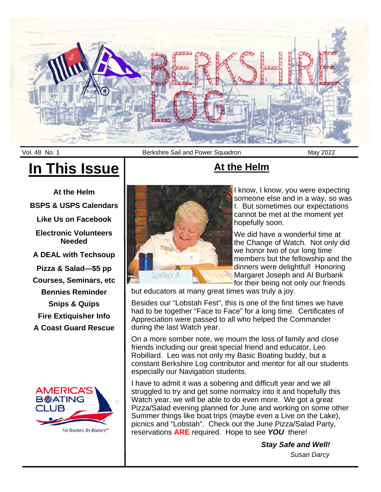

# **In This Issue**

**At the Helm BSPS & USPS Calendars Like Us on Facebook Electronic Volunteers Needed A DEAL with Techsoup Pizza & Salad—\$5 pp Courses, Seminars, etc Bennies Reminder Snips & Quips Fire Extiquisher Info A Coast Guard Rescue** 



Vol. 48 No. 1 **Berkshire Sail and Power Squadron** May 2022



# **At the Helm**

I know, I know, you were expecting someone else and in a way, so was I. But sometimes our expectations cannot be met at the moment yet hopefully soon.

We did have a wonderful time at the Change of Watch. Not only did we honor two of our long time members but the fellowship and the dinners were delightful! Honoring Margaret Joseph and Al Burbank for their being not only our friends

but educators at many great times was truly a joy.

Besides our "Lobstah Fest", this is one of the first times we have had to be together "Face to Face" for a long time. Certificates of Appreciation were passed to all who helped the Commander during the last Watch year.

On a more somber note, we mourn the loss of family and close friends including our great special friend and educator, Leo Robillard. Leo was not only my Basic Boating buddy, but a constant Berkshire Log contributor and mentor for all our students especially our Navigation students.

I have to admit it was a sobering and difficult year and we all struggled to try and get some normalcy into it and hopefully this Watch year, we will be able to do even more. We got a great Pizza/Salad evening planned for June and working on some other Summer things like boat trips (maybe even a Live on the Lake), picnics and "Lobstah". Check out the June Pizza/Salad Party, reservations **ARE** required. Hope to see *YOU* there!

*Stay Safe and Well!*

*Susan Darcy*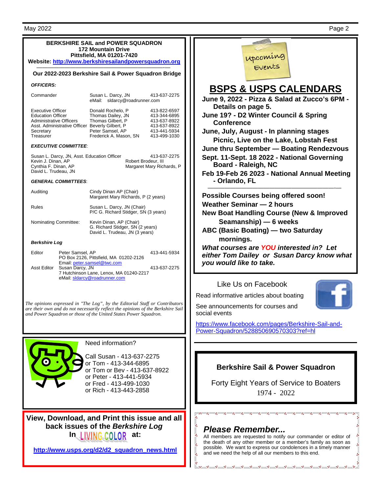*OFFICERS:* 

**BSPS & USPS CALENDARS June 9, 2022 - Pizza & Salad at Zucco's 6PM - Details on page 5. June 19? - D2 Winter Council & Spring Picnic, Live on the Lake, Lobstah Fest June thru September — Boating Rendezvous Sept. 11-Sept. 18 2022 - National Governing Board - Raleigh, NC Feb 19-Feb 26 2023 - National Annual Meeting - Orlando, FL**  ———————————————————–———-— **Possible Courses being offered soon! Weather Seminar — 2 hours New Boat Handling Course (New & Improved Seamanship) — 6 weeks ABC (Basic Boating) — two Saturday**  *What courses are YOU interested in? Let either Tom Dailey or Susan Darcy know what you would like to take.* 

### Like Us on Facebook

Read informative articles about boating



See announcements for courses and

https://www.facebook.com/pages/Berkshire-Sail-and-Power-Squadron/528850690570303?ref=hl

## **Berkshire Sail & Power Squadron**

Forty Eight Years of Service to Boaters 1974 - 2022

. . . . . . . . . . . . . . . . . <u>.</u>

## *Please Remember...*

All members are requested to notify our commander or editor of the death of any other member or a member's family as soon as possible. We want to express our condolences in a timely manner and we need the help of all our members to this end.

upcoming

**June, July, August - In planning stages** 



*Berkshire Log* 

or Peter - 413-441-5934 or Fred - 413-499-1030 or Rich - 413-443-2858

**View, Download, and Print this issue and all back issues of the** *Berkshire Log* **In LIVING COLOR at:** 

**http://www.usps.org/d2/d2\_squadron\_news.html**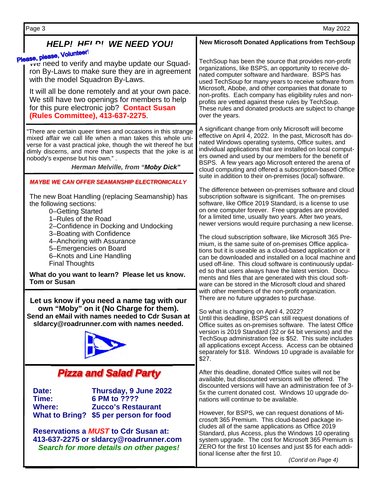**HELP! HELP!** WE NEED YOU!<br>Please, please, Volunteer! **We need to verify and maybe update our Squad**ron By-Laws to make sure they are in agreement with the model Squadron By-Laws. It will all be done remotely and at your own pace. We still have two openings for members to help for this pure electronic job? **Contact Susan (Rules Committee), 413-637-2275**. "There are certain queer times and occasions in this strange mixed affair we call life when a man takes this whole universe for a vast practical joke, though the wit thereof he but dimly discerns, and more than suspects that the joke is at nobody's expense but his own." . *Herman Melville, from "Moby Dick"* The new Boat Handling (replacing Seamanship) has the following sections: 0–Getting Started 1–Rules of the Road 2–Confidence in Docking and Undocking 3–Boating with Confidence 4–Anchoring with Assurance 5–Emergencies on Board 6–Knots and Line Handling Final Thoughts **What do you want to learn? Please let us know. Tom or Susan** Page 3 May 2022 **New Microsoft Donated Applications from TechSoup**  TechSoup has been the source that provides non-profit organizations, like BSPS, an opportunity to receive donated computer software and hardware. BSPS has used TechSoup for many years to receive software from Microsoft, Abobe, and other companies that donate to non-profits. Each company has eligibility rules and nonprofits are vetted against these rules by TechSoup. These rules and donated products are subject to change over the years. A significant change from only Microsoft will become effective on April 4, 2022. In the past, Microsoft has donated Windows operating systems, Office suites, and individual applications that are installed on local computers owned and used by our members for the benefit of BSPS. A few years ago Microsoft entered the arena of cloud computing and offered a subscription-based Office suite in addition to their on-premises (local) software. The difference between on-premises software and cloud subscription software is significant. The on-premises software, like Office 2019 Standard, is a license to use on one computer forever. Free upgrades are provided for a limited time, usually two years. After two years, newer versions would require purchasing a new license. The cloud subscription software, like Microsoft 365 Premium, is the same suite of on-premises Office applications but it is useable as a cloud-based application or it can be downloaded and installed on a local machine and used off-line. This cloud software is continuously updated so that users always have the latest version. Documents and files that are generated with this cloud software can be stored in the Microsoft cloud and shared with other members of the non-profit organization. There are no future upgrades to purchase. So what is changing on April 4, 2022? Until this deadline, BSPS can still request donations of Office suites as on-premises software. The latest Office version is 2019 Standard (32 or 64 bit versions) and the TechSoup administration fee is \$52. This suite includes all applications except Access. Access can be obtained separately for \$18. Windows 10 upgrade is available for \$27. After this deadline, donated Office suites will not be available, but discounted versions will be offered. The discounted versions will have an administration fee of 3- 5x the current donated cost. Windows 10 upgrade donations will continue to be available. However, for BSPS, we can request donations of Microsoft 365 Premium. This cloud-based package includes all of the same applications as Office 2019 Standard, plus Access, plus the Windows 10 operating system upgrade. The cost for Microsoft 365 Premium is ZERO for the first 10 licenses and just \$5 for each addi-*MAYBE WE CAN OFFER SEAMANSHIP ELECTRONICALLY* **Let us know if you need a name tag with our own "Moby" on it (No Charge for them). Send an eMail with names needed to Cdr Susan at sldarcy@roadrunner.com with names needed.**  *Pizza and Salad Party* **Date: Thursday, 9 June 2022 Time: 6 PM to ???? Where: Zucco's Restaurant What to Bring? \$5 per person for food Reservations a** *MUST* **to Cdr Susan at: 413-637-2275 or sldarcy@roadrunner.com** 

*Search for more details on other pages!* 

*(Cont'd on Page 4)*

tional license after the first 10.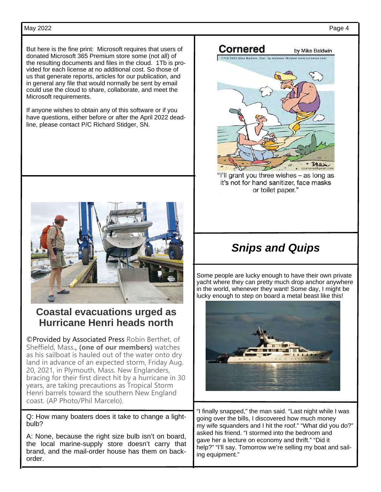### May 2022 Page 4

But here is the fine print: Microsoft requires that users of donated Microsoft 365 Premium store some (not all) of the resulting documents and files in the cloud. 1Tb is provided for each license at no additional cost. So those of us that generate reports, articles for our publication, and in general any file that would normally be sent by email could use the cloud to share, collaborate, and meet the Microsoft requirements.

If anyone wishes to obtain any of this software or if you have questions, either before or after the April 2022 deadline, please contact P/C Richard Stidger, SN.



# **Coastal evacuations urged as Hurricane Henri heads north**

©Provided by Associated Press Robin Berthet, of Sheffield, Mass.**, (one of our members)** watches as his sailboat is hauled out of the water onto dry land in advance of an expected storm, Friday Aug. 20, 2021, in Plymouth, Mass. New Englanders, bracing for their first direct hit by a hurricane in 30 years, are taking precautions as Tropical Storm Henri barrels toward the southern New England coast. (AP Photo/Phil Marcelo).

Q: How many boaters does it take to change a lightbulb?

A: None, because the right size bulb isn't on board, the local marine-supply store doesn't carry that brand, and the mail-order house has them on backorder.



it's not for hand sanitizer, face masks or toilet paper."

# *Snips and Quips*

Some people are lucky enough to have their own private yacht where they can pretty much drop anchor anywhere in the world, whenever they want! Some day, I might be lucky enough to step on board a metal beast like this!



"I finally snapped," the man said. "Last night while I was going over the bills, I discovered how much money my wife squanders and I hit the roof." "What did you do?" asked his friend. "I stormed into the bedroom and gave her a lecture on economy and thrift." "Did it help?" "I'll say. Tomorrow we're selling my boat and sailing equipment."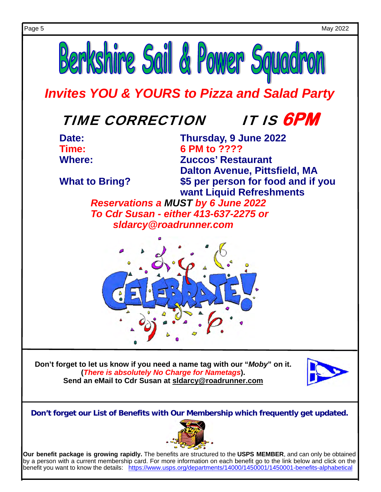

**Don't forget our List of Benefits with Our Membership which frequently get updated.**



**Our benefit package is growing rapidly.** The benefits are structured to the **USPS MEMBER**, and can only be obtained by a person with a current membership card. For more information on each benefit go to the link below and click on the benefit you want to know the details: https://www.usps.org/departments/14000/1450001/1450001-benefits-alphabetical